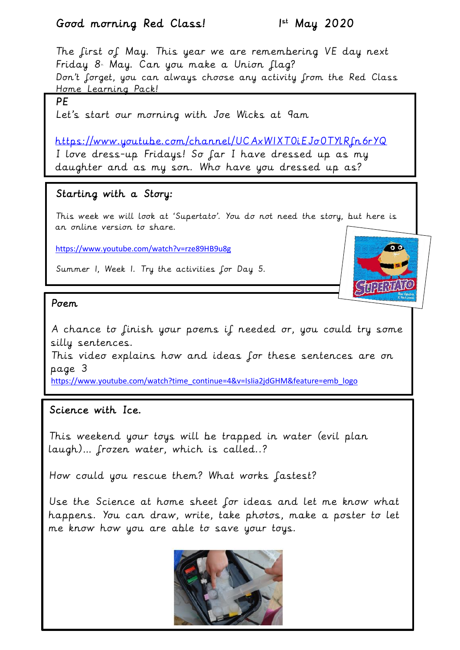## Good morning Red Class! 1



This video explains how and ideas for these sentences are on page 3

[https://www.youtube.com/watch?time\\_continue=4&v=IsIia2jdGHM&feature=emb\\_logo](https://www.youtube.com/watch?time_continue=4&v=IsIia2jdGHM&feature=emb_logo)

## Science with Ice.

This weekend your toys will be trapped in water (evil plan laugh)… frozen water, which is called..?

How could you rescue them? What works fastest?

Use the Science at home sheet for ideas and let me know what happens. You can draw, write, take photos, make a poster to let me know how you are able to save your toys.